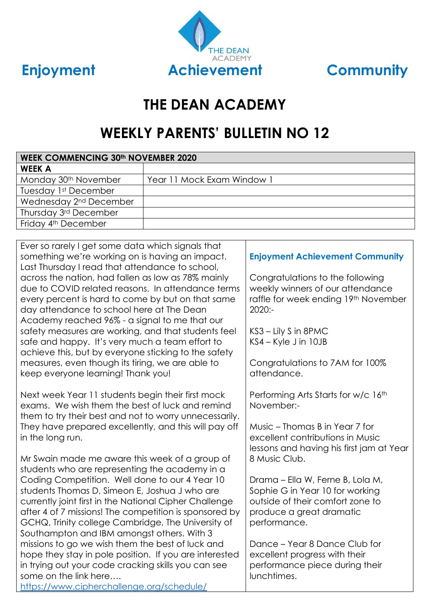



# **THE DEAN ACADEMY**

# **WEEKLY PARENTS' BULLETIN NO 12**

| <b>WEEK COMMENCING 30th NOVEMBER 2020</b> |                            |  |
|-------------------------------------------|----------------------------|--|
| <b>WEEK A</b>                             |                            |  |
| Monday 30 <sup>th</sup> November          | Year 11 Mock Exam Window 1 |  |
| Tuesday 1st December                      |                            |  |
| Wednesday 2 <sup>nd</sup> December        |                            |  |
| Thursday 3rd December                     |                            |  |
| Friday 4 <sup>th</sup> December           |                            |  |

Ever so rarely I get some data which signals that something we're working on is having an impact. Last Thursday I read that attendance to school, across the nation, had fallen as low as 78% mainly due to COVID related reasons. In attendance terms every percent is hard to come by but on that same day attendance to school here at The Dean Academy reached 96% - a signal to me that our safety measures are working, and that students feel safe and happy. It's very much a team effort to achieve this, but by everyone sticking to the safety measures, even though its tiring, we are able to keep everyone learning! Thank you!

Next week Year 11 students begin their first mock exams. We wish them the best of luck and remind them to try their best and not to worry unnecessarily. They have prepared excellently, and this will pay off in the long run.

Mr Swain made me aware this week of a group of students who are representing the academy in a Coding Competition. Well done to our 4 Year 10 students Thomas D, Simeon E, Joshua J who are currently joint first in the National Cipher Challenge after 4 of 7 missions! The competition is sponsored by GCHQ, Trinity college Cambridge, The University of Southampton and IBM amongst others. With 3 missions to go we wish them the best of luck and hope they stay in pole position. If you are interested in trying out your code cracking skills you can see some on the link here….

#### <https://www.cipherchallenge.org/schedule/>

# **Enjoyment Achievement Community**

Congratulations to the following weekly winners of our attendance raffle for week ending 19th November 2020:-

KS3 – Lily S in 8PMC KS4 – Kyle J in 10JB

Congratulations to 7AM for 100% attendance.

Performing Arts Starts for w/c 16<sup>th</sup> November:-

Music – Thomas B in Year 7 for excellent contributions in Music lessons and having his first jam at Year 8 Music Club.

Drama – Ella W, Ferne B, Lola M, Sophie G in Year 10 for working outside of their comfort zone to produce a great dramatic performance.

Dance – Year 8 Dance Club for excellent progress with their performance piece during their lunchtimes.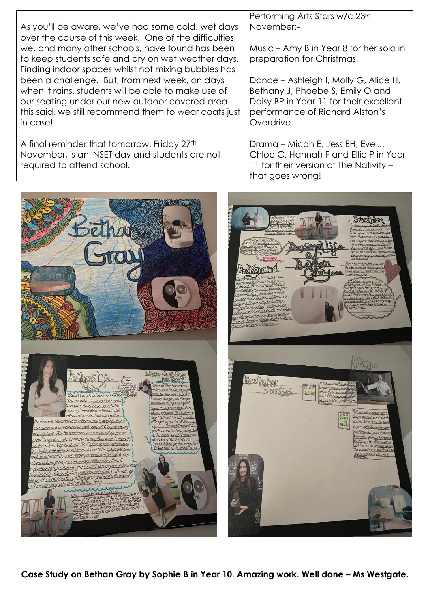|                                                                                                            | Performing Arts Stars w/c 23rd          |
|------------------------------------------------------------------------------------------------------------|-----------------------------------------|
| As you'll be aware, we've had some cold, wet days<br>over the course of this week. One of the difficulties | November:-                              |
| we, and many other schools, have found has been                                                            | Music – Amy B in Year 8 for her solo in |
| to keep students safe and dry on wet weather days.                                                         | preparation for Christmas.              |
| Finding indoor spaces whilst not mixing bubbles has                                                        |                                         |
| been a challenge. But, from next week, on days                                                             | Dance – Ashleigh I, Molly G, Alice H,   |
| when it rains, students will be able to make use of                                                        | Bethany J, Phoebe S, Emily O and        |
| our seating under our new outdoor covered area -                                                           | Daisy BP in Year 11 for their excellent |
| this said, we still recommend them to wear coats just                                                      | performance of Richard Alston's         |
| in case!                                                                                                   | Overdrive.                              |
|                                                                                                            |                                         |
| A final reminder that tomorrow, Friday 27th                                                                | Drama – Micah E, Jess EH, Eve J,        |
| November, is an INSET day and students are not                                                             | Chloe C, Hannah F and Ellie P in Year   |
| required to attend school.                                                                                 | 11 for their version of The Nativity -  |



**Case Study on Bethan Gray by Sophie B in Year 10. Amazing work. Well done – Ms Westgate.**